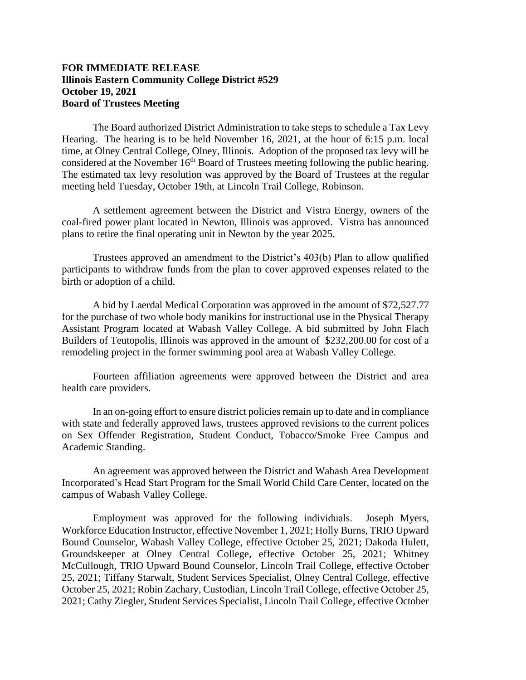## **FOR IMMEDIATE RELEASE Illinois Eastern Community College District #529 October 19, 2021 Board of Trustees Meeting**

The Board authorized District Administration to take steps to schedule a Tax Levy Hearing. The hearing is to be held November 16, 2021, at the hour of 6:15 p.m. local time, at Olney Central College, Olney, Illinois. Adoption of the proposed tax levy will be considered at the November  $16<sup>th</sup>$  Board of Trustees meeting following the public hearing. The estimated tax levy resolution was approved by the Board of Trustees at the regular meeting held Tuesday, October 19th, at Lincoln Trail College, Robinson.

A settlement agreement between the District and Vistra Energy, owners of the coal-fired power plant located in Newton, Illinois was approved. Vistra has announced plans to retire the final operating unit in Newton by the year 2025.

Trustees approved an amendment to the District's 403(b) Plan to allow qualified participants to withdraw funds from the plan to cover approved expenses related to the birth or adoption of a child.

A bid by Laerdal Medical Corporation was approved in the amount of \$72,527.77 for the purchase of two whole body manikins for instructional use in the Physical Therapy Assistant Program located at Wabash Valley College. A bid submitted by John Flach Builders of Teutopolis, Illinois was approved in the amount of \$232,200.00 for cost of a remodeling project in the former swimming pool area at Wabash Valley College.

Fourteen affiliation agreements were approved between the District and area health care providers.

In an on-going effort to ensure district policies remain up to date and in compliance with state and federally approved laws, trustees approved revisions to the current polices on Sex Offender Registration, Student Conduct, Tobacco/Smoke Free Campus and Academic Standing.

An agreement was approved between the District and Wabash Area Development Incorporated's Head Start Program for the Small World Child Care Center, located on the campus of Wabash Valley College.

Employment was approved for the following individuals. Joseph Myers, Workforce Education Instructor, effective November 1, 2021; Holly Burns, TRIO Upward Bound Counselor, Wabash Valley College, effective October 25, 2021; Dakoda Hulett, Groundskeeper at Olney Central College, effective October 25, 2021; Whitney McCullough, TRIO Upward Bound Counselor, Lincoln Trail College, effective October 25, 2021; Tiffany Starwalt, Student Services Specialist, Olney Central College, effective October 25, 2021; Robin Zachary, Custodian, Lincoln Trail College, effective October 25, 2021; Cathy Ziegler, Student Services Specialist, Lincoln Trail College, effective October